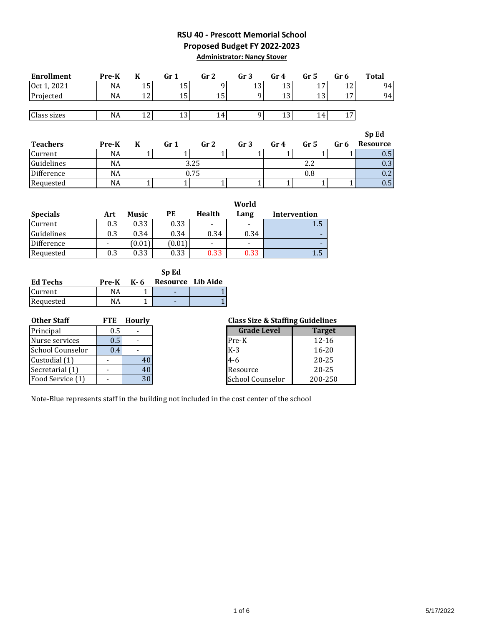### **RSU 40 - Prescott Memorial School Proposed Budget FY 2022-2023 Administrator: Nancy Stover**

| <b>Enrollment</b> | Pre-K | n        | Gr 1 | Gr 2 | Gr 3 | Gr 4        | Gr 5 | Gr 6           | <b>Total</b> |
|-------------------|-------|----------|------|------|------|-------------|------|----------------|--------------|
| Oct 1, 2021       | NA    | ⊥∪       | ⊥∪   |      | LO   | $\sim$<br>ᆂ | 17   | $\overline{ }$ | 94           |
| Projected         | NA    | 10<br>⊥∠ | ⊥∪   |      | Ω    | ᆂ           | 13   | $\overline{ }$ | 94           |
|                   |       |          |      |      |      |             |      |                |              |
| Class sizes       | NA    | ┸᠘       | ⊥∪   | 14.  |      | ᆚ           | 14   | $\overline{ }$ |              |

|                 |                 |                 |                 |      |                 |      |      | Sp Ed         |
|-----------------|-----------------|-----------------|-----------------|------|-----------------|------|------|---------------|
| <b>Teachers</b> | Pre-K           | Gr <sub>1</sub> | Gr <sub>2</sub> | Gr 3 | Gr <sub>4</sub> | Gr 5 | Gr 6 | Resource      |
| Current         | NA              |                 |                 |      |                 |      |      | $0.5\,$       |
| Guidelines      | NA              |                 | 3.25            |      |                 |      |      | $0.3^{\circ}$ |
| Difference      | NA.             |                 | 0.75            |      |                 | U.X  |      | $0.2\,$       |
| Requested       | NA <sub>l</sub> |                 |                 |      |                 |      |      | 0.5           |

|                 |     |        |        |                          | World                    |              |
|-----------------|-----|--------|--------|--------------------------|--------------------------|--------------|
| <b>Specials</b> | Art | Music  | РE     | <b>Health</b>            | Lang                     | Intervention |
| Current         | 0.3 | 0.33   | 0.33   | $\overline{\phantom{0}}$ | -                        | 1.5          |
| Guidelines      | 0.3 | 0.34   | 0.34   | 0.34                     | 0.34                     |              |
| Difference      |     | (0.01) | (0.01) | -                        | $\overline{\phantom{0}}$ |              |
| Requested       | 0.3 | 0.33   | 0.33   | 0.33                     | 0.33                     | 1.5          |

|                 |       |      | Sp Ed             |  |
|-----------------|-------|------|-------------------|--|
| <b>Ed Techs</b> | Pre-K | K- 6 | Resource Lib Aide |  |
| Current         | NA    |      |                   |  |
| Requested       | NA    |      |                   |  |

| <b>Other Staff</b>      | <b>FTE</b> | <b>Hourly</b> | <b>Class Size &amp; Staffing Guidelines</b> |               |
|-------------------------|------------|---------------|---------------------------------------------|---------------|
| Principal               | 0.5        |               | <b>Grade Level</b>                          | <b>Target</b> |
| Nurse services          | 0.5        |               | Pre-K                                       | $12 - 16$     |
| <b>School Counselor</b> | 0.4        |               | $K-3$                                       | $16 - 20$     |
| Custodial (1)           |            | 40            | $4 - 6$                                     | $20 - 25$     |
| Secretarial (1)         |            | 40            | Resource                                    | $20 - 25$     |
| Food Service (1)        |            | 30            | <b>School Counselor</b>                     | 200-250       |

|                    | <b>Class Size &amp; Staffing Guidelines</b> |  |  |  |  |
|--------------------|---------------------------------------------|--|--|--|--|
| <b>Grade Level</b> | <b>Target</b>                               |  |  |  |  |
| Pre-K              | $12 - 16$                                   |  |  |  |  |
| $K-3$              | $16 - 20$                                   |  |  |  |  |
| $4 - 6$            | $20 - 25$                                   |  |  |  |  |
| Resource           | $20 - 25$                                   |  |  |  |  |
| School Counselor   | 200-250                                     |  |  |  |  |

Note-Blue represents staff in the building not included in the cost center of the school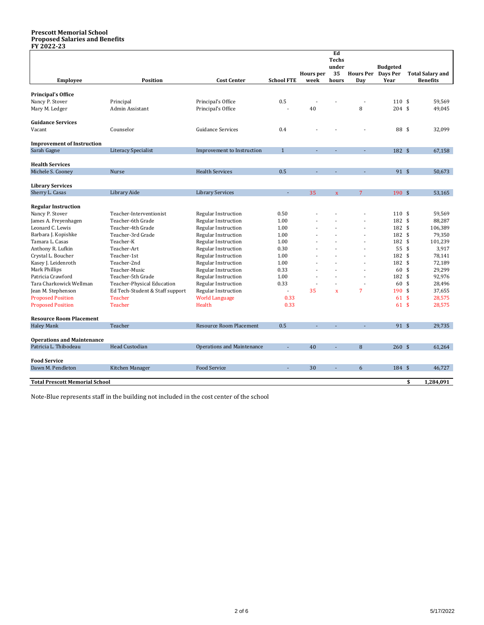#### **Prescott Memorial School Proposed Salaries and Benefits FY 2022-23**

|                                       |                                 |                                   |                   |                  | Ed<br><b>Techs</b> |                    |                 |                         |
|---------------------------------------|---------------------------------|-----------------------------------|-------------------|------------------|--------------------|--------------------|-----------------|-------------------------|
|                                       |                                 |                                   |                   |                  | under              |                    | <b>Budgeted</b> |                         |
|                                       |                                 |                                   |                   | <b>Hours</b> per | 35                 | Hours Per Days Per |                 | <b>Total Salary and</b> |
| <b>Employee</b>                       | <b>Position</b>                 | <b>Cost Center</b>                | <b>School FTE</b> | week             | hours              | Day                | Year            | <b>Benefits</b>         |
| <b>Principal's Office</b>             |                                 |                                   |                   |                  |                    |                    |                 |                         |
| Nancy P. Stover                       | Principal                       | Principal's Office                | 0.5               |                  |                    |                    | $110*$          | 59,569                  |
| Mary M. Ledger                        | Admin Assistant                 | Principal's Office                |                   | 40               |                    | 8                  | $204$ \$        | 49,045                  |
| <b>Guidance Services</b>              |                                 |                                   |                   |                  |                    |                    |                 |                         |
| Vacant                                | Counselor                       | <b>Guidance Services</b>          | 0.4               |                  |                    |                    | 88 \$           | 32,099                  |
| <b>Improvement of Instruction</b>     |                                 |                                   |                   |                  |                    |                    |                 |                         |
| Sarah Gagne                           | <b>Literacy Specialist</b>      | Improvement to Instruction        | $\mathbf{1}$      |                  |                    |                    | 182 \$          | 67,158                  |
| <b>Health Services</b>                |                                 |                                   |                   |                  |                    |                    |                 |                         |
| Michele S. Cooney                     | Nurse                           | <b>Health Services</b>            | 0.5               |                  |                    |                    | 91 \$           | 50,673                  |
|                                       |                                 |                                   |                   |                  |                    |                    |                 |                         |
| <b>Library Services</b>               |                                 |                                   |                   |                  |                    |                    |                 |                         |
| Sherry L. Casas                       | Library Aide                    | <b>Library Services</b>           |                   | 35               | $\bar{\mathbf{x}}$ | 7                  | $190*$          | 53,165                  |
| <b>Regular Instruction</b>            |                                 |                                   |                   |                  |                    |                    |                 |                         |
| Nancy P. Stover                       | Teacher-Interventionist         | <b>Regular Instruction</b>        | 0.50              |                  |                    |                    | 110S            | 59.569                  |
| James A. Freyenhagen                  | Teacher-6th Grade               | Regular Instruction               | 1.00              |                  |                    |                    | 182 \$          | 88,287                  |
| Leonard C. Lewis                      | Teacher-4th Grade               | Regular Instruction               | 1.00              |                  |                    |                    | 182 \$          | 106,389                 |
| Barbara J. Kopishke                   | Teacher-3rd Grade               | Regular Instruction               | 1.00              |                  |                    | ÷.                 | 182 \$          | 79,350                  |
| Tamara L. Casas                       | Teacher-K                       | Regular Instruction               | 1.00              |                  |                    | ÷.                 | 182 \$          | 101,239                 |
| Anthony R. Lufkin                     | Teacher-Art                     | Regular Instruction               | 0.30              |                  |                    | ä,                 | 55 \$           | 3,917                   |
| Crystal L. Boucher                    | Teacher-1st                     | Regular Instruction               | 1.00              |                  |                    |                    | 182 \$          | 78,141                  |
| Kasey J. Leidenroth                   | Teacher-2nd                     | Regular Instruction               | 1.00              |                  |                    | $\blacksquare$     | 182 \$          | 72,189                  |
| Mark Phillips                         | Teacher-Music                   | Regular Instruction               | 0.33              |                  |                    | J.                 | 60 \$           | 29,299                  |
| Patricia Crawford                     | Teacher-5th Grade               | Regular Instruction               | 1.00              |                  |                    |                    | 182 \$          | 92,976                  |
| Tara Charkowick Wellman               | Teacher-Physical Education      | Regular Instruction               | 0.33              |                  |                    | Ĭ.                 | 60 \$           | 28,496                  |
| Jean M. Stephenson                    | Ed Tech-Student & Staff support | Regular Instruction               |                   | 35               | $\bar{\mathbf{x}}$ | $\overline{7}$     | $190*$          | 37,655                  |
| <b>Proposed Position</b>              | <b>Teacher</b>                  | <b>World Language</b>             | 0.33              |                  |                    |                    | 61S             | 28,575                  |
| <b>Proposed Position</b>              | <b>Teacher</b>                  | Health                            | 0.33              |                  |                    |                    | 61S             | 28,575                  |
| <b>Resource Room Placement</b>        |                                 |                                   |                   |                  |                    |                    |                 |                         |
| <b>Haley Mank</b>                     | Teacher                         | <b>Resource Room Placement</b>    | 0.5               |                  |                    |                    | 91 \$           | 29,735                  |
| <b>Operations and Maintenance</b>     |                                 |                                   |                   |                  |                    |                    |                 |                         |
| Patricia L. Thibodeau                 | <b>Head Custodian</b>           | <b>Operations and Maintenance</b> |                   | 40               |                    | 8                  | 260S            | 61,264                  |
|                                       |                                 |                                   |                   |                  |                    |                    |                 |                         |
| <b>Food Service</b>                   |                                 |                                   |                   |                  |                    |                    |                 |                         |
| Dawn M. Pendleton                     | Kitchen Manager                 | <b>Food Service</b>               | ä,                | 30               | L,                 | 6                  | 184 \$          | 46,727                  |
| <b>Total Prescott Memorial School</b> |                                 |                                   |                   |                  |                    |                    |                 | \$<br>1,284,091         |

Note-Blue represents staff in the building not included in the cost center of the school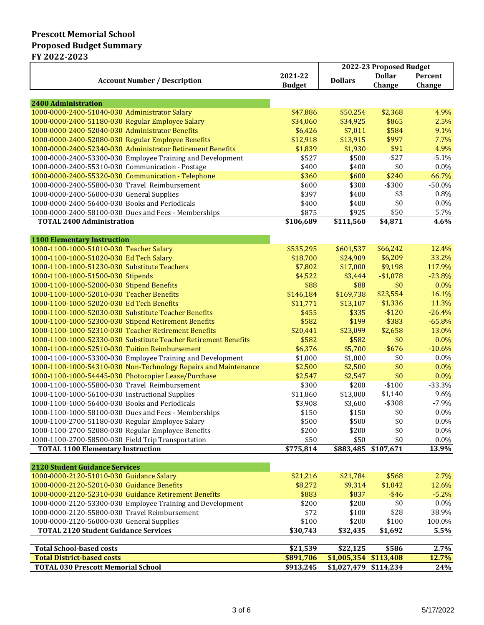## **Prescott Memorial School Proposed Budget Summary FY 2022-2023**

|                                                                                        |               | 2022-23 Proposed Budget |                     |          |  |
|----------------------------------------------------------------------------------------|---------------|-------------------------|---------------------|----------|--|
|                                                                                        | 2021-22       | <b>Dollars</b>          | <b>Dollar</b>       | Percent  |  |
| <b>Account Number / Description</b>                                                    | <b>Budget</b> |                         | Change              | Change   |  |
|                                                                                        |               |                         |                     |          |  |
| <b>2400 Administration</b>                                                             |               |                         |                     |          |  |
| 1000-0000-2400-51040-030 Administrator Salary                                          | \$47,886      | \$50,254                | \$2,368             | 4.9%     |  |
| 1000-0000-2400-51180-030 Regular Employee Salary                                       | \$34,060      | \$34,925                | \$865               | 2.5%     |  |
| 1000-0000-2400-52040-030 Administrator Benefits                                        | \$6,426       | \$7,011                 | \$584               | 9.1%     |  |
| 1000-0000-2400-52080-030 Regular Employee Benefits                                     | \$12,918      | \$13,915                | \$997               | 7.7%     |  |
| 1000-0000-2400-52340-030 Administrator Retirement Benefits                             | \$1,839       | \$1,930                 | \$91                | 4.9%     |  |
| 1000-0000-2400-53300-030 Employee Training and Development                             | \$527         | \$500                   | $-$ \$27            | $-5.1%$  |  |
| 1000-0000-2400-55310-030 Communication - Postage                                       | \$400         | \$400                   | \$0                 | 0.0%     |  |
| 1000-0000-2400-55320-030 Communication - Telephone                                     | \$360         | \$600                   | \$240               | 66.7%    |  |
| 1000-0000-2400-55800-030 Travel Reimbursement                                          | \$600         | \$300                   | $- $300$            | $-50.0%$ |  |
| 1000-0000-2400-56000-030 General Supplies                                              | \$397         | \$400                   | \$3                 | 0.8%     |  |
| 1000-0000-2400-56400-030 Books and Periodicals                                         | \$400         | \$400                   | \$0                 | 0.0%     |  |
| 1000-0000-2400-58100-030 Dues and Fees - Memberships                                   | \$875         | \$925                   | \$50                | 5.7%     |  |
| <b>TOTAL 2400 Administration</b>                                                       | \$106,689     | \$111,560               | \$4,871             | 4.6%     |  |
|                                                                                        |               |                         |                     |          |  |
| <b>1100 Elementary Instruction</b>                                                     |               |                         |                     |          |  |
| 1000-1100-1000-51010-030 Teacher Salary                                                | \$535,295     | \$601,537               | \$66,242            | 12.4%    |  |
| 1000-1100-1000-51020-030 Ed Tech Salary                                                | \$18,700      | \$24,909                | \$6,209             | 33.2%    |  |
| 1000-1100-1000-51230-030 Substitute Teachers                                           | \$7,802       | \$17,000                | \$9,198             | 117.9%   |  |
| 1000-1100-1000-51500-030 Stipends                                                      | \$4,522       | \$3,444                 | $-$1,078$           | $-23.8%$ |  |
| 1000-1100-1000-52000-030 Stipend Benefits                                              | \$88          | \$88                    | \$0                 | 0.0%     |  |
| 1000-1100-1000-52010-030 Teacher Benefits                                              | \$146,184     | \$169,738               | \$23,554            | 16.1%    |  |
| 1000-1100-1000-52020-030 Ed Tech Benefits                                              | \$11,771      | \$13,107                | \$1,336             | 11.3%    |  |
| 1000-1100-1000-52030-030 Substitute Teacher Benefits                                   | \$455         | \$335                   | $-$120$             | $-26.4%$ |  |
| 1000-1100-1000-52300-030 Stipend Retirement Benefits                                   | \$582         | \$199                   | $-$ \$383           | $-65.8%$ |  |
| 1000-1100-1000-52310-030 Teacher Retirement Benefits                                   | \$20,441      | \$23,099                | \$2,658             | 13.0%    |  |
| 1000-1100-1000-52330-030 Substitute Teacher Retirement Benefits                        | \$582         | \$582                   | \$0                 | $0.0\%$  |  |
| 1000-1100-1000-52510-030 Tuition Reimbursement                                         | \$6,376       | \$5,700                 | $-$ \$676           | $-10.6%$ |  |
| 1000-1100-1000-53300-030 Employee Training and Development                             | \$1,000       | \$1,000                 | \$0                 | $0.0\%$  |  |
| 1000-1100-1000-54310-030 Non-Technology Repairs and Maintenance                        | \$2,500       | \$2,500                 | \$0                 | $0.0\%$  |  |
| 1000-1100-1000-54445-030 Photocopier Lease/Purchase                                    | \$2,547       | \$2,547                 | \$0                 | $0.0\%$  |  |
| 1000-1100-1000-55800-030 Travel Reimbursement                                          | \$300         | \$200                   | $-$100$             | $-33.3%$ |  |
| 1000-1100-1000-56100-030 Instructional Supplies                                        | \$11,860      | \$13,000                | \$1,140             | 9.6%     |  |
| 1000-1100-1000-56400-030 Books and Periodicals                                         | \$3,908       | \$3,600                 | $- $308$            | $-7.9%$  |  |
| 1000-1100-1000-58100-030 Dues and Fees - Memberships                                   | \$150         | \$150                   | \$0                 | 0.0%     |  |
| 1000-1100-2700-51180-030 Regular Employee Salary                                       | \$500         | \$500                   | \$0                 | $0.0\%$  |  |
| 1000-1100-2700-52080-030 Regular Employee Benefits                                     | \$200         | \$200                   | \$0                 | $0.0\%$  |  |
| 1000-1100-2700-58500-030 Field Trip Transportation                                     | \$50          | \$50                    | \$0                 | $0.0\%$  |  |
| <b>TOTAL 1100 Elementary Instruction</b>                                               | \$775,814     |                         | \$883,485 \$107,671 | 13.9%    |  |
|                                                                                        |               |                         |                     |          |  |
| <b>2120 Student Guidance Services</b>                                                  |               |                         |                     |          |  |
| 1000-0000-2120-51010-030 Guidance Salary<br>1000-0000-2120-52010-030 Guidance Benefits | \$21,216      | \$21,784                | \$568               | 2.7%     |  |
|                                                                                        | \$8,272       | \$9,314                 | \$1,042             | 12.6%    |  |
| 1000-0000-2120-52310-030 Guidance Retirement Benefits                                  | \$883         | \$837                   | $-$ \$46            | $-5.2%$  |  |
| 1000-0000-2120-53300-030 Employee Training and Development                             | \$200         | \$200                   | \$0                 | 0.0%     |  |
| 1000-0000-2120-55800-030 Travel Reimbursement                                          | \$72          | \$100                   | \$28                | 38.9%    |  |
| 1000-0000-2120-56000-030 General Supplies                                              | \$100         | \$200                   | \$100               | 100.0%   |  |
| <b>TOTAL 2120 Student Guidance Services</b>                                            | \$30,743      | \$32,435                | \$1,692             | 5.5%     |  |
| <b>Total School-based costs</b>                                                        | \$21,539      | \$22,125                | \$586               | 2.7%     |  |
| <b>Total District-based costs</b>                                                      | \$891,706     | \$1,005,354 \$113,408   |                     | 12.7%    |  |
| <b>TOTAL 030 Prescott Memorial School</b>                                              | \$913,245     | \$1,027,479 \$114,234   |                     | 24%      |  |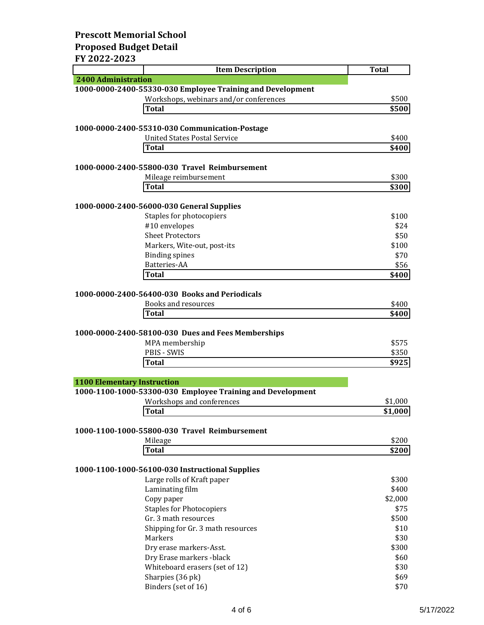## **Prescott Memorial School Proposed Budget Detail FY 2022-2023**

| I I AVAL AVAJ                      | <b>Item Description</b>                                    | <b>Total</b> |
|------------------------------------|------------------------------------------------------------|--------------|
| <b>2400 Administration</b>         |                                                            |              |
|                                    | 1000-0000-2400-55330-030 Employee Training and Development |              |
|                                    | Workshops, webinars and/or conferences                     | \$500        |
|                                    | <b>Total</b>                                               | \$500        |
|                                    |                                                            |              |
|                                    | 1000-0000-2400-55310-030 Communication-Postage             |              |
|                                    | <b>United States Postal Service</b>                        | \$400        |
|                                    | <b>Total</b>                                               | \$400        |
|                                    |                                                            |              |
|                                    | 1000-0000-2400-55800-030 Travel Reimbursement              |              |
|                                    | Mileage reimbursement                                      | \$300        |
|                                    | Total                                                      | \$300        |
|                                    |                                                            |              |
|                                    | 1000-0000-2400-56000-030 General Supplies                  |              |
|                                    | Staples for photocopiers                                   | \$100        |
|                                    | #10 envelopes                                              | \$24         |
|                                    | <b>Sheet Protectors</b>                                    | \$50         |
|                                    | Markers, Wite-out, post-its                                | \$100        |
|                                    | <b>Binding spines</b><br>Batteries-AA                      | \$70         |
|                                    | <b>Total</b>                                               | \$56         |
|                                    |                                                            | \$400        |
|                                    | 1000-0000-2400-56400-030 Books and Periodicals             |              |
|                                    | Books and resources                                        | \$400        |
|                                    | <b>Total</b>                                               | \$400        |
|                                    |                                                            |              |
|                                    | 1000-0000-2400-58100-030 Dues and Fees Memberships         |              |
|                                    | MPA membership                                             | \$575        |
|                                    | PBIS - SWIS                                                | \$350        |
|                                    | <b>Total</b>                                               | \$925        |
|                                    |                                                            |              |
| <b>1100 Elementary Instruction</b> |                                                            |              |
|                                    | 1000-1100-1000-53300-030 Employee Training and Development |              |
|                                    | Workshops and conferences                                  | \$1,000      |
|                                    | <b>Total</b>                                               | \$1,000      |
|                                    |                                                            |              |
|                                    | 1000-1100-1000-55800-030 Travel Reimbursement              |              |
|                                    | Mileage                                                    | \$200        |
|                                    | <b>Total</b>                                               | \$200        |
|                                    |                                                            |              |
|                                    | 1000-1100-1000-56100-030 Instructional Supplies            |              |
|                                    | Large rolls of Kraft paper                                 | \$300        |
|                                    | Laminating film                                            | \$400        |
|                                    | Copy paper                                                 | \$2,000      |
|                                    | <b>Staples for Photocopiers</b>                            | \$75         |
|                                    | Gr. 3 math resources                                       | \$500        |
|                                    | Shipping for Gr. 3 math resources                          | \$10         |
|                                    | Markers                                                    | \$30         |
|                                    | Dry erase markers-Asst.                                    | \$300        |
|                                    | Dry Erase markers -black                                   | \$60         |
|                                    | Whiteboard erasers (set of 12)                             | \$30         |
|                                    | Sharpies (36 pk)                                           | \$69         |
|                                    | Binders (set of 16)                                        | \$70         |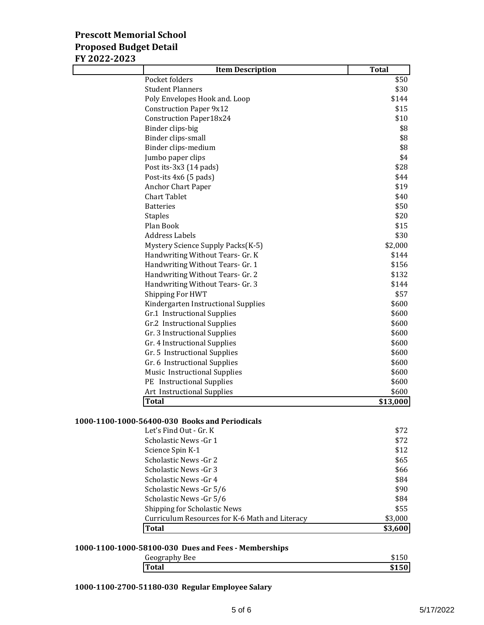# **Prescott Memorial School Proposed Budget Detail**

| FY 2022-2023 |                                     |              |
|--------------|-------------------------------------|--------------|
|              | <b>Item Description</b>             | <b>Total</b> |
|              | Pocket folders                      | \$50         |
|              | <b>Student Planners</b>             | \$30         |
|              | Poly Envelopes Hook and. Loop       | \$144        |
|              | <b>Construction Paper 9x12</b>      | \$15         |
|              | <b>Construction Paper18x24</b>      | \$10         |
|              | Binder clips-big                    | \$8          |
|              | Binder clips-small                  | \$8          |
|              | Binder clips-medium                 | \$8          |
|              | Jumbo paper clips                   | \$4          |
|              | Post its-3x3 (14 pads)              | \$28         |
|              | Post-its 4x6 (5 pads)               | \$44         |
|              | <b>Anchor Chart Paper</b>           | \$19         |
|              | <b>Chart Tablet</b>                 | \$40         |
|              | <b>Batteries</b>                    | \$50         |
|              | <b>Staples</b>                      | \$20         |
|              | Plan Book                           | \$15         |
|              | <b>Address Labels</b>               | \$30         |
|              | Mystery Science Supply Packs(K-5)   | \$2,000      |
|              | Handwriting Without Tears- Gr. K    | \$144        |
|              | Handwriting Without Tears- Gr. 1    | \$156        |
|              | Handwriting Without Tears- Gr. 2    | \$132        |
|              | Handwriting Without Tears- Gr. 3    | \$144        |
|              | Shipping For HWT                    | \$57         |
|              | Kindergarten Instructional Supplies | \$600        |
|              | Gr.1 Instructional Supplies         | \$600        |
|              | Gr.2 Instructional Supplies         | \$600        |
|              | Gr. 3 Instructional Supplies        | \$600        |
|              | Gr. 4 Instructional Supplies        | \$600        |
|              | Gr. 5 Instructional Supplies        | \$600        |
|              | Gr. 6 Instructional Supplies        | \$600        |
|              | Music Instructional Supplies        | \$600        |
|              | PE Instructional Supplies           | \$600        |
|              | Art Instructional Supplies          | \$600        |
|              | <b>Total</b>                        | \$13,000     |

### **1000-1100-1000-56400-030 Books and Periodicals**

| Let's Find Out - Gr. K                         | \$72    |
|------------------------------------------------|---------|
| Scholastic News -Gr 1                          | \$72    |
| Science Spin K-1                               | \$12    |
| Scholastic News - Gr 2                         | \$65    |
| Scholastic News -Gr 3                          | \$66    |
| Scholastic News -Gr 4                          | \$84    |
| Scholastic News -Gr 5/6                        | \$90    |
| Scholastic News - Gr 5/6                       | \$84    |
| <b>Shipping for Scholastic News</b>            | \$55    |
| Curriculum Resources for K-6 Math and Literacy | \$3,000 |
| <b>Total</b>                                   | \$3,600 |

### **1000-1100-1000-58100-030 Dues and Fees - Memberships**

| Geography Bee |  |
|---------------|--|
| Total         |  |

**1000-1100-2700-51180-030 Regular Employee Salary**